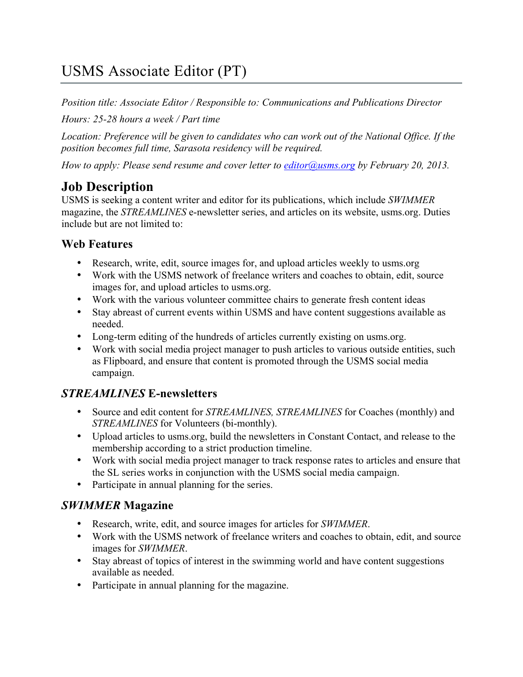# USMS Associate Editor (PT)

*Position title: Associate Editor / Responsible to: Communications and Publications Director*

*Hours: 25-28 hours a week / Part time*

*Location: Preference will be given to candidates who can work out of the National Office. If the position becomes full time, Sarasota residency will be required.*

*How to apply: Please send resume and cover letter to editor@usms.org by February 20, 2013.*

## **Job Description**

USMS is seeking a content writer and editor for its publications, which include *SWIMMER* magazine, the *STREAMLINES* e-newsletter series, and articles on its website, usms.org. Duties include but are not limited to:

#### **Web Features**

- Research, write, edit, source images for, and upload articles weekly to usms.org
- Work with the USMS network of freelance writers and coaches to obtain, edit, source images for, and upload articles to usms.org.
- Work with the various volunteer committee chairs to generate fresh content ideas
- Stay abreast of current events within USMS and have content suggestions available as needed.
- Long-term editing of the hundreds of articles currently existing on usms.org.
- Work with social media project manager to push articles to various outside entities, such as Flipboard, and ensure that content is promoted through the USMS social media campaign.

## *STREAMLINES* **E-newsletters**

- Source and edit content for *STREAMLINES, STREAMLINES* for Coaches (monthly) and *STREAMLINES* for Volunteers (bi-monthly).
- Upload articles to usms.org, build the newsletters in Constant Contact, and release to the membership according to a strict production timeline.
- Work with social media project manager to track response rates to articles and ensure that the SL series works in conjunction with the USMS social media campaign.
- Participate in annual planning for the series.

### *SWIMMER* **Magazine**

- Research, write, edit, and source images for articles for *SWIMMER*.
- Work with the USMS network of freelance writers and coaches to obtain, edit, and source images for *SWIMMER*.
- Stay abreast of topics of interest in the swimming world and have content suggestions available as needed.
- Participate in annual planning for the magazine.